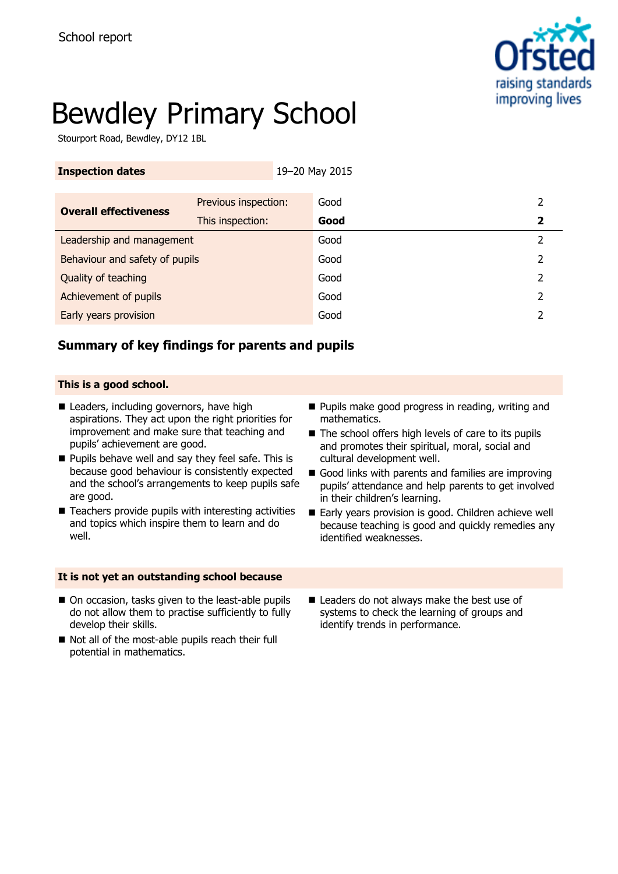

# Bewdley Primary School

Stourport Road, Bewdley, DY12 1BL

| <b>Inspection dates</b>        |                      | 19-20 May 2015 |      |               |
|--------------------------------|----------------------|----------------|------|---------------|
|                                |                      |                |      |               |
| <b>Overall effectiveness</b>   | Previous inspection: |                | Good | 2             |
|                                | This inspection:     |                | Good | 2             |
| Leadership and management      |                      |                | Good | $\mathcal{P}$ |
| Behaviour and safety of pupils |                      |                | Good | 2             |
| Quality of teaching            |                      |                | Good | 2             |
| Achievement of pupils          |                      |                | Good | 2             |
| Early years provision          |                      |                | Good |               |

## **Summary of key findings for parents and pupils**

### **This is a good school.**

- Leaders, including governors, have high aspirations. They act upon the right priorities for improvement and make sure that teaching and pupils' achievement are good.
- **Pupils behave well and say they feel safe. This is** because good behaviour is consistently expected and the school's arrangements to keep pupils safe are good.
- $\blacksquare$  Teachers provide pupils with interesting activities and topics which inspire them to learn and do well.

### **It is not yet an outstanding school because**

- On occasion, tasks given to the least-able pupils do not allow them to practise sufficiently to fully develop their skills.
- Not all of the most-able pupils reach their full potential in mathematics.
- **Pupils make good progress in reading, writing and** mathematics.
- $\blacksquare$  The school offers high levels of care to its pupils and promotes their spiritual, moral, social and cultural development well.
- Good links with parents and families are improving pupils' attendance and help parents to get involved in their children's learning.
- Early years provision is good. Children achieve well because teaching is good and quickly remedies any identified weaknesses.
- Leaders do not always make the best use of systems to check the learning of groups and identify trends in performance.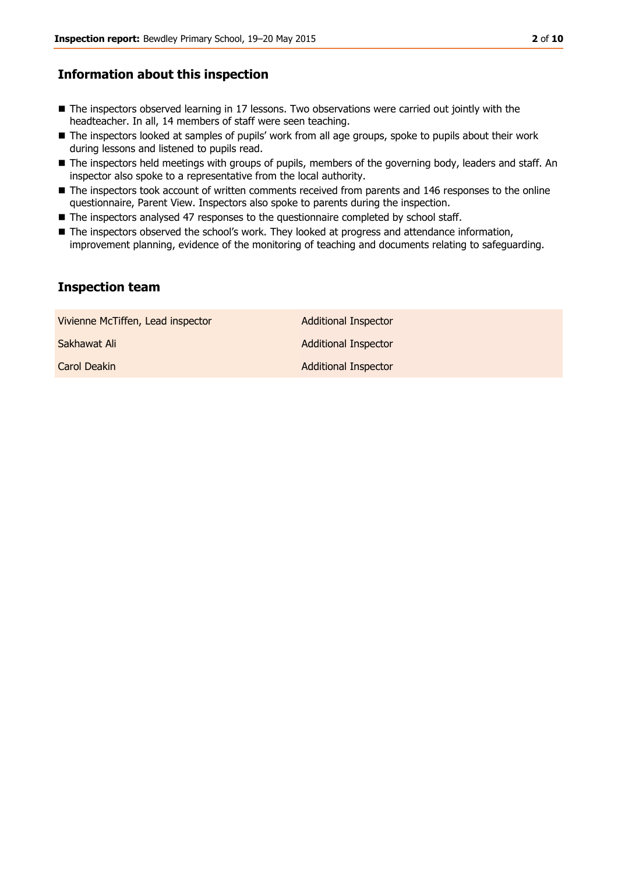## **Information about this inspection**

- The inspectors observed learning in 17 lessons. Two observations were carried out jointly with the headteacher. In all, 14 members of staff were seen teaching.
- The inspectors looked at samples of pupils' work from all age groups, spoke to pupils about their work during lessons and listened to pupils read.
- The inspectors held meetings with groups of pupils, members of the governing body, leaders and staff. An inspector also spoke to a representative from the local authority.
- The inspectors took account of written comments received from parents and 146 responses to the online questionnaire, Parent View. Inspectors also spoke to parents during the inspection.
- The inspectors analysed 47 responses to the questionnaire completed by school staff.
- The inspectors observed the school's work. They looked at progress and attendance information, improvement planning, evidence of the monitoring of teaching and documents relating to safeguarding.

## **Inspection team**

| Vivienne McTiffen, Lead inspector | <b>Additional Inspector</b> |
|-----------------------------------|-----------------------------|
| Sakhawat Ali                      | <b>Additional Inspector</b> |
| Carol Deakin                      | <b>Additional Inspector</b> |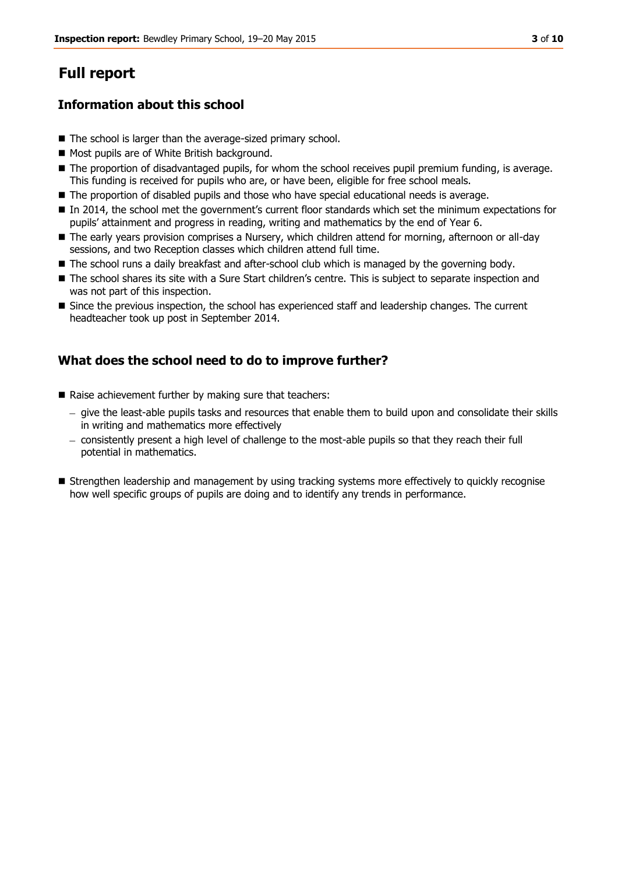## **Full report**

## **Information about this school**

- The school is larger than the average-sized primary school.
- Most pupils are of White British background.
- $\blacksquare$  The proportion of disadvantaged pupils, for whom the school receives pupil premium funding, is average. This funding is received for pupils who are, or have been, eligible for free school meals.
- **The proportion of disabled pupils and those who have special educational needs is average.**
- In 2014, the school met the government's current floor standards which set the minimum expectations for pupils' attainment and progress in reading, writing and mathematics by the end of Year 6.
- The early years provision comprises a Nursery, which children attend for morning, afternoon or all-day sessions, and two Reception classes which children attend full time.
- The school runs a daily breakfast and after-school club which is managed by the governing body.
- The school shares its site with a Sure Start children's centre. This is subject to separate inspection and was not part of this inspection.
- Since the previous inspection, the school has experienced staff and leadership changes. The current headteacher took up post in September 2014.

## **What does the school need to do to improve further?**

- Raise achievement further by making sure that teachers:
	- give the least-able pupils tasks and resources that enable them to build upon and consolidate their skills in writing and mathematics more effectively
	- consistently present a high level of challenge to the most-able pupils so that they reach their full potential in mathematics.
- Strengthen leadership and management by using tracking systems more effectively to quickly recognise how well specific groups of pupils are doing and to identify any trends in performance.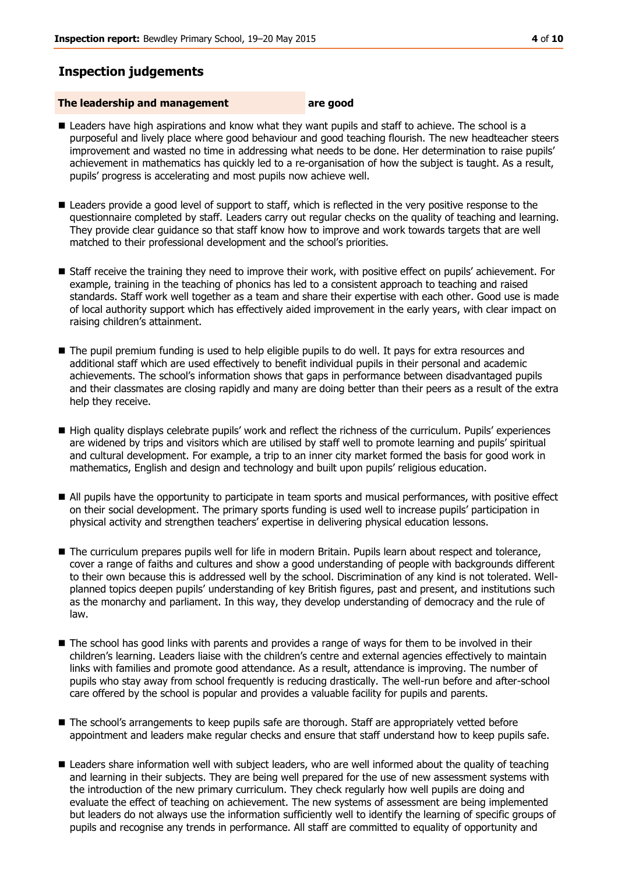## **Inspection judgements**

#### **The leadership and management are good**

- **Leaders have high aspirations and know what they want pupils and staff to achieve. The school is a** purposeful and lively place where good behaviour and good teaching flourish. The new headteacher steers improvement and wasted no time in addressing what needs to be done. Her determination to raise pupils' achievement in mathematics has quickly led to a re-organisation of how the subject is taught. As a result, pupils' progress is accelerating and most pupils now achieve well.
- **E** Leaders provide a good level of support to staff, which is reflected in the very positive response to the questionnaire completed by staff. Leaders carry out regular checks on the quality of teaching and learning. They provide clear guidance so that staff know how to improve and work towards targets that are well matched to their professional development and the school's priorities.
- Staff receive the training they need to improve their work, with positive effect on pupils' achievement. For example, training in the teaching of phonics has led to a consistent approach to teaching and raised standards. Staff work well together as a team and share their expertise with each other. Good use is made of local authority support which has effectively aided improvement in the early years, with clear impact on raising children's attainment.
- The pupil premium funding is used to help eligible pupils to do well. It pays for extra resources and additional staff which are used effectively to benefit individual pupils in their personal and academic achievements. The school's information shows that gaps in performance between disadvantaged pupils and their classmates are closing rapidly and many are doing better than their peers as a result of the extra help they receive.
- High quality displays celebrate pupils' work and reflect the richness of the curriculum. Pupils' experiences are widened by trips and visitors which are utilised by staff well to promote learning and pupils' spiritual and cultural development. For example, a trip to an inner city market formed the basis for good work in mathematics, English and design and technology and built upon pupils' religious education.
- All pupils have the opportunity to participate in team sports and musical performances, with positive effect on their social development. The primary sports funding is used well to increase pupils' participation in physical activity and strengthen teachers' expertise in delivering physical education lessons.
- The curriculum prepares pupils well for life in modern Britain. Pupils learn about respect and tolerance, cover a range of faiths and cultures and show a good understanding of people with backgrounds different to their own because this is addressed well by the school. Discrimination of any kind is not tolerated. Wellplanned topics deepen pupils' understanding of key British figures, past and present, and institutions such as the monarchy and parliament. In this way, they develop understanding of democracy and the rule of law.
- The school has good links with parents and provides a range of ways for them to be involved in their children's learning. Leaders liaise with the children's centre and external agencies effectively to maintain links with families and promote good attendance. As a result, attendance is improving. The number of pupils who stay away from school frequently is reducing drastically. The well-run before and after-school care offered by the school is popular and provides a valuable facility for pupils and parents.
- The school's arrangements to keep pupils safe are thorough. Staff are appropriately vetted before appointment and leaders make regular checks and ensure that staff understand how to keep pupils safe.
- **E** Leaders share information well with subject leaders, who are well informed about the quality of teaching and learning in their subjects. They are being well prepared for the use of new assessment systems with the introduction of the new primary curriculum. They check regularly how well pupils are doing and evaluate the effect of teaching on achievement. The new systems of assessment are being implemented but leaders do not always use the information sufficiently well to identify the learning of specific groups of pupils and recognise any trends in performance. All staff are committed to equality of opportunity and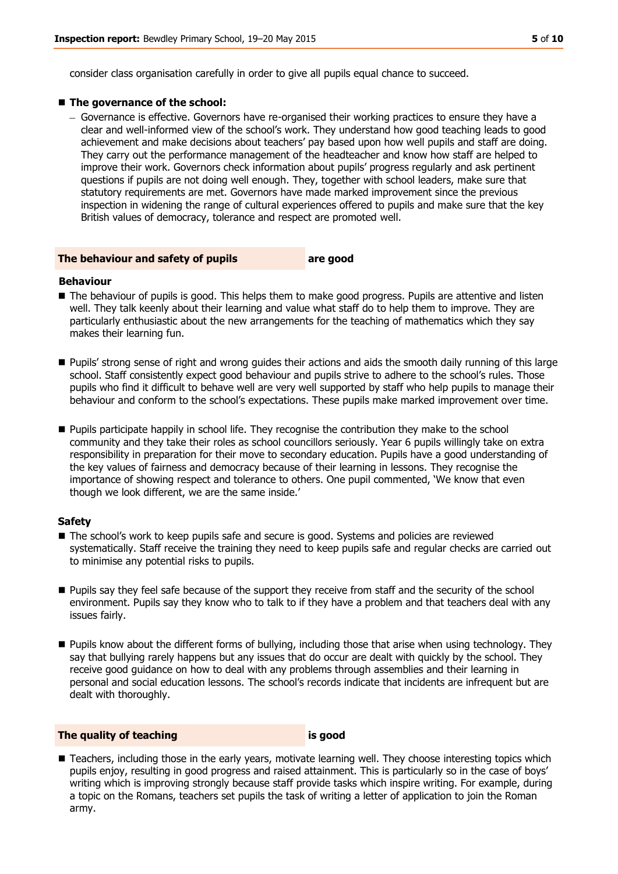consider class organisation carefully in order to give all pupils equal chance to succeed.

#### ■ The governance of the school:

– Governance is effective. Governors have re-organised their working practices to ensure they have a clear and well-informed view of the school's work. They understand how good teaching leads to good achievement and make decisions about teachers' pay based upon how well pupils and staff are doing. They carry out the performance management of the headteacher and know how staff are helped to improve their work. Governors check information about pupils' progress regularly and ask pertinent questions if pupils are not doing well enough. They, together with school leaders, make sure that statutory requirements are met. Governors have made marked improvement since the previous inspection in widening the range of cultural experiences offered to pupils and make sure that the key British values of democracy, tolerance and respect are promoted well.

#### **The behaviour and safety of pupils are good**

#### **Behaviour**

- The behaviour of pupils is good. This helps them to make good progress. Pupils are attentive and listen well. They talk keenly about their learning and value what staff do to help them to improve. They are particularly enthusiastic about the new arrangements for the teaching of mathematics which they say makes their learning fun.
- Pupils' strong sense of right and wrong guides their actions and aids the smooth daily running of this large school. Staff consistently expect good behaviour and pupils strive to adhere to the school's rules. Those pupils who find it difficult to behave well are very well supported by staff who help pupils to manage their behaviour and conform to the school's expectations. These pupils make marked improvement over time.
- **Pupils participate happily in school life. They recognise the contribution they make to the school** community and they take their roles as school councillors seriously. Year 6 pupils willingly take on extra responsibility in preparation for their move to secondary education. Pupils have a good understanding of the key values of fairness and democracy because of their learning in lessons. They recognise the importance of showing respect and tolerance to others. One pupil commented, 'We know that even though we look different, we are the same inside.'

#### **Safety**

- The school's work to keep pupils safe and secure is good. Systems and policies are reviewed systematically. Staff receive the training they need to keep pupils safe and regular checks are carried out to minimise any potential risks to pupils.
- **Pupils say they feel safe because of the support they receive from staff and the security of the school** environment. Pupils say they know who to talk to if they have a problem and that teachers deal with any issues fairly.
- **Pupils know about the different forms of bullying, including those that arise when using technology. They** say that bullying rarely happens but any issues that do occur are dealt with quickly by the school. They receive good guidance on how to deal with any problems through assemblies and their learning in personal and social education lessons. The school's records indicate that incidents are infrequent but are dealt with thoroughly.

#### **The quality of teaching is good**

**Teachers, including those in the early years, motivate learning well. They choose interesting topics which** pupils enjoy, resulting in good progress and raised attainment. This is particularly so in the case of boys' writing which is improving strongly because staff provide tasks which inspire writing. For example, during a topic on the Romans, teachers set pupils the task of writing a letter of application to join the Roman army.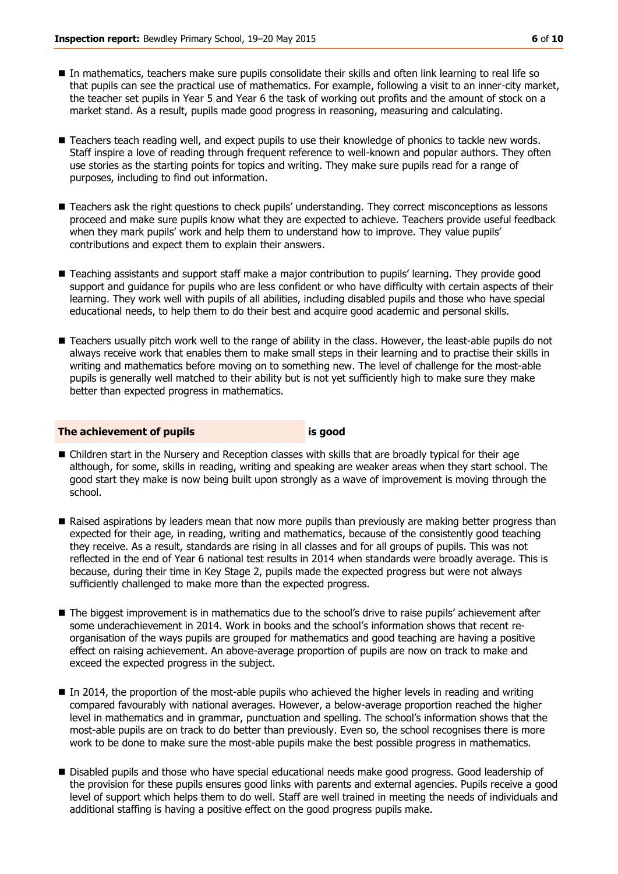- In mathematics, teachers make sure pupils consolidate their skills and often link learning to real life so that pupils can see the practical use of mathematics. For example, following a visit to an inner-city market, the teacher set pupils in Year 5 and Year 6 the task of working out profits and the amount of stock on a market stand. As a result, pupils made good progress in reasoning, measuring and calculating.
- Teachers teach reading well, and expect pupils to use their knowledge of phonics to tackle new words. Staff inspire a love of reading through frequent reference to well-known and popular authors. They often use stories as the starting points for topics and writing. They make sure pupils read for a range of purposes, including to find out information.
- Teachers ask the right questions to check pupils' understanding. They correct misconceptions as lessons proceed and make sure pupils know what they are expected to achieve. Teachers provide useful feedback when they mark pupils' work and help them to understand how to improve. They value pupils' contributions and expect them to explain their answers.
- Teaching assistants and support staff make a major contribution to pupils' learning. They provide good support and guidance for pupils who are less confident or who have difficulty with certain aspects of their learning. They work well with pupils of all abilities, including disabled pupils and those who have special educational needs, to help them to do their best and acquire good academic and personal skills.
- Teachers usually pitch work well to the range of ability in the class. However, the least-able pupils do not always receive work that enables them to make small steps in their learning and to practise their skills in writing and mathematics before moving on to something new. The level of challenge for the most-able pupils is generally well matched to their ability but is not yet sufficiently high to make sure they make better than expected progress in mathematics.

#### **The achievement of pupils is good**

- Children start in the Nursery and Reception classes with skills that are broadly typical for their age although, for some, skills in reading, writing and speaking are weaker areas when they start school. The good start they make is now being built upon strongly as a wave of improvement is moving through the school.
- Raised aspirations by leaders mean that now more pupils than previously are making better progress than expected for their age, in reading, writing and mathematics, because of the consistently good teaching they receive. As a result, standards are rising in all classes and for all groups of pupils. This was not reflected in the end of Year 6 national test results in 2014 when standards were broadly average. This is because, during their time in Key Stage 2, pupils made the expected progress but were not always sufficiently challenged to make more than the expected progress.
- The biggest improvement is in mathematics due to the school's drive to raise pupils' achievement after some underachievement in 2014. Work in books and the school's information shows that recent reorganisation of the ways pupils are grouped for mathematics and good teaching are having a positive effect on raising achievement. An above-average proportion of pupils are now on track to make and exceed the expected progress in the subject.
- In 2014, the proportion of the most-able pupils who achieved the higher levels in reading and writing compared favourably with national averages. However, a below-average proportion reached the higher level in mathematics and in grammar, punctuation and spelling. The school's information shows that the most-able pupils are on track to do better than previously. Even so, the school recognises there is more work to be done to make sure the most-able pupils make the best possible progress in mathematics.
- **Disabled pupils and those who have special educational needs make good progress. Good leadership of** the provision for these pupils ensures good links with parents and external agencies. Pupils receive a good level of support which helps them to do well. Staff are well trained in meeting the needs of individuals and additional staffing is having a positive effect on the good progress pupils make.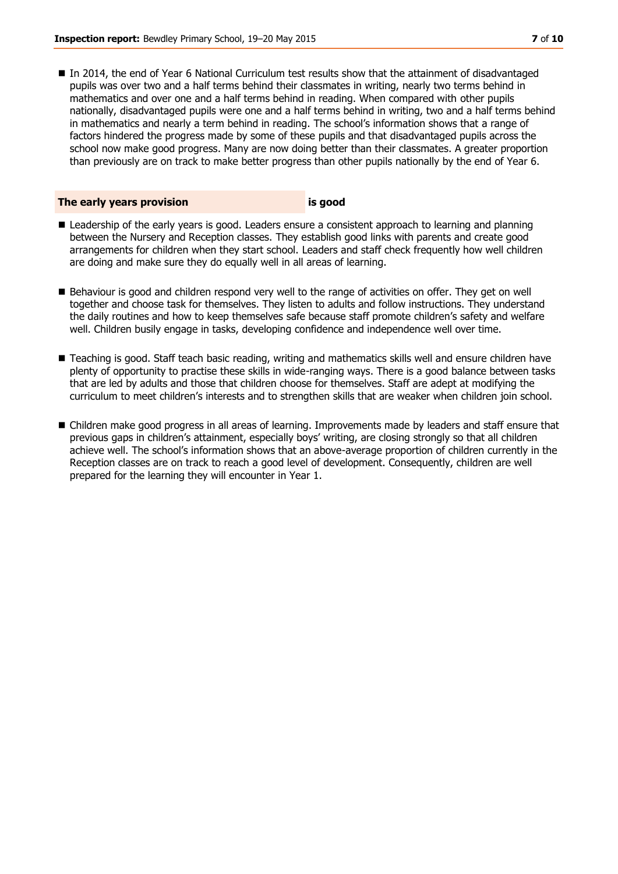In 2014, the end of Year 6 National Curriculum test results show that the attainment of disadvantaged pupils was over two and a half terms behind their classmates in writing, nearly two terms behind in mathematics and over one and a half terms behind in reading. When compared with other pupils nationally, disadvantaged pupils were one and a half terms behind in writing, two and a half terms behind in mathematics and nearly a term behind in reading. The school's information shows that a range of factors hindered the progress made by some of these pupils and that disadvantaged pupils across the school now make good progress. Many are now doing better than their classmates. A greater proportion than previously are on track to make better progress than other pupils nationally by the end of Year 6.

### **The early years provision is good**

- **E** Leadership of the early years is good. Leaders ensure a consistent approach to learning and planning between the Nursery and Reception classes. They establish good links with parents and create good arrangements for children when they start school. Leaders and staff check frequently how well children are doing and make sure they do equally well in all areas of learning.
- Behaviour is good and children respond very well to the range of activities on offer. They get on well together and choose task for themselves. They listen to adults and follow instructions. They understand the daily routines and how to keep themselves safe because staff promote children's safety and welfare well. Children busily engage in tasks, developing confidence and independence well over time.
- Teaching is good. Staff teach basic reading, writing and mathematics skills well and ensure children have plenty of opportunity to practise these skills in wide-ranging ways. There is a good balance between tasks that are led by adults and those that children choose for themselves. Staff are adept at modifying the curriculum to meet children's interests and to strengthen skills that are weaker when children join school.
- Children make good progress in all areas of learning. Improvements made by leaders and staff ensure that previous gaps in children's attainment, especially boys' writing, are closing strongly so that all children achieve well. The school's information shows that an above-average proportion of children currently in the Reception classes are on track to reach a good level of development. Consequently, children are well prepared for the learning they will encounter in Year 1.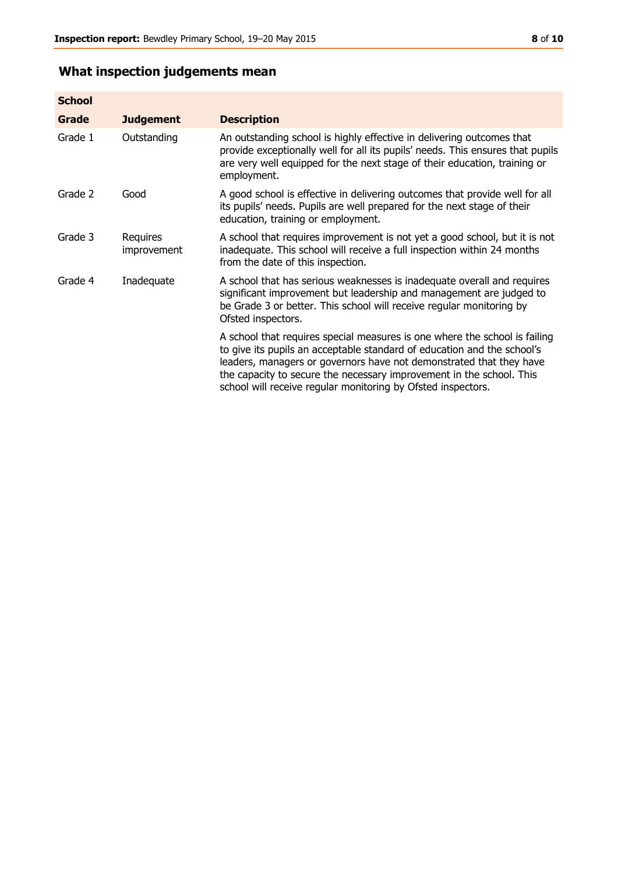## **What inspection judgements mean**

| <b>School</b> |                         |                                                                                                                                                                                                                                                                                                                                                                      |
|---------------|-------------------------|----------------------------------------------------------------------------------------------------------------------------------------------------------------------------------------------------------------------------------------------------------------------------------------------------------------------------------------------------------------------|
| Grade         | <b>Judgement</b>        | <b>Description</b>                                                                                                                                                                                                                                                                                                                                                   |
| Grade 1       | Outstanding             | An outstanding school is highly effective in delivering outcomes that<br>provide exceptionally well for all its pupils' needs. This ensures that pupils<br>are very well equipped for the next stage of their education, training or<br>employment.                                                                                                                  |
| Grade 2       | Good                    | A good school is effective in delivering outcomes that provide well for all<br>its pupils' needs. Pupils are well prepared for the next stage of their<br>education, training or employment.                                                                                                                                                                         |
| Grade 3       | Requires<br>improvement | A school that requires improvement is not yet a good school, but it is not<br>inadequate. This school will receive a full inspection within 24 months<br>from the date of this inspection.                                                                                                                                                                           |
| Grade 4       | Inadequate              | A school that has serious weaknesses is inadequate overall and requires<br>significant improvement but leadership and management are judged to<br>be Grade 3 or better. This school will receive regular monitoring by<br>Ofsted inspectors.                                                                                                                         |
|               |                         | A school that requires special measures is one where the school is failing<br>to give its pupils an acceptable standard of education and the school's<br>leaders, managers or governors have not demonstrated that they have<br>the capacity to secure the necessary improvement in the school. This<br>school will receive regular monitoring by Ofsted inspectors. |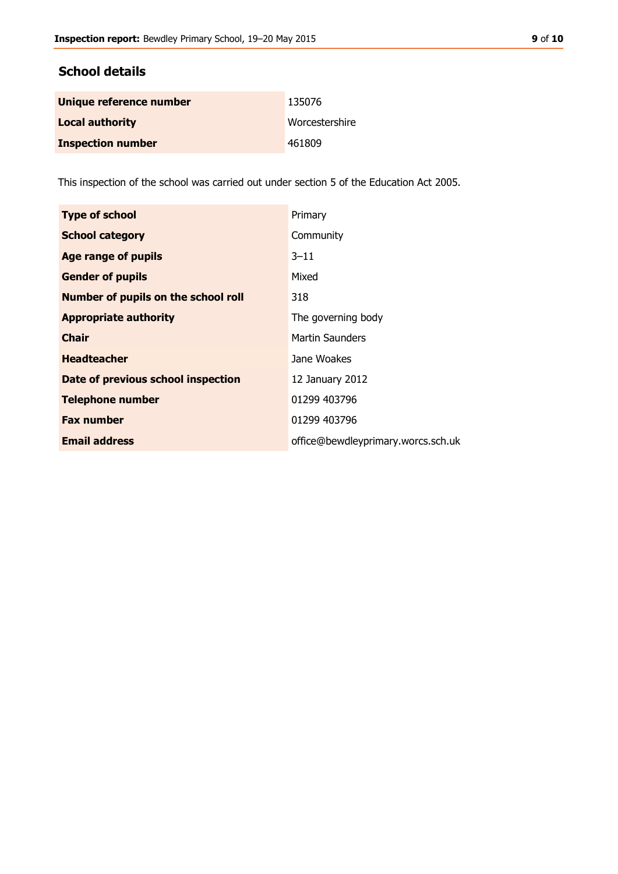## **School details**

| Unique reference number  | 135076         |
|--------------------------|----------------|
| <b>Local authority</b>   | Worcestershire |
| <b>Inspection number</b> | 461809         |

This inspection of the school was carried out under section 5 of the Education Act 2005.

| <b>Type of school</b>                      | Primary                            |
|--------------------------------------------|------------------------------------|
| <b>School category</b>                     | Community                          |
| <b>Age range of pupils</b>                 | $3 - 11$                           |
| <b>Gender of pupils</b>                    | Mixed                              |
| <b>Number of pupils on the school roll</b> | 318                                |
| <b>Appropriate authority</b>               | The governing body                 |
| <b>Chair</b>                               | <b>Martin Saunders</b>             |
| <b>Headteacher</b>                         | Jane Woakes                        |
| Date of previous school inspection         | 12 January 2012                    |
| <b>Telephone number</b>                    | 01299 403796                       |
| <b>Fax number</b>                          | 01299 403796                       |
| <b>Email address</b>                       | office@bewdleyprimary.worcs.sch.uk |